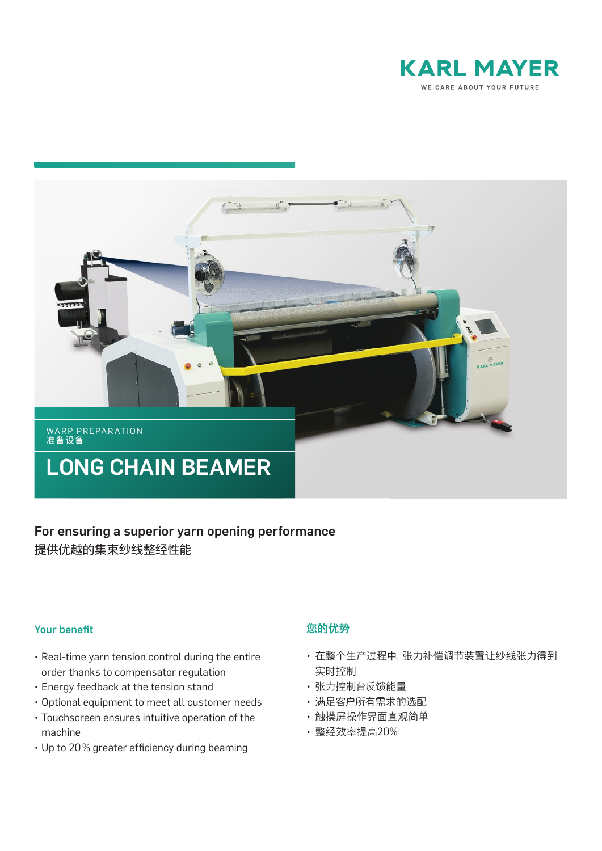



# For ensuring a superior yarn opening performance 提供优越的集束纱线整经性能

### **Your benefit**

- Real-time yarn tension control during the entire order thanks to compensator regulation
- Energy feedback at the tension stand
- Optional equipment to meet all customer needs
- Touchscreen ensures intuitive operation of the machine
- Up to 20% greater efficiency during beaming

## 您的优势

- 在整个生产过程中,张力补偿调节装置让纱线张力得到 实时控制
- 张力控制台反馈能量
- 满足客户所有需求的选配
- 触摸屏操作界面直观简单
- 整经效率提高20%